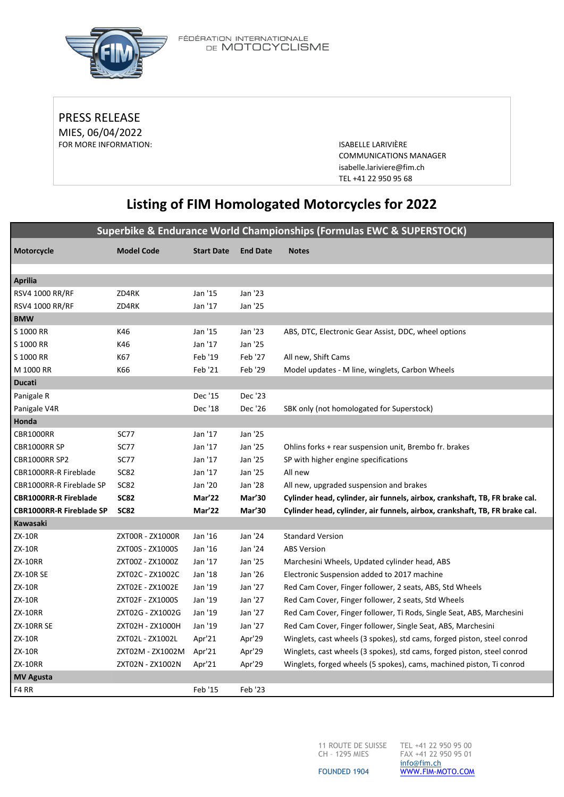

FÉDÉRATION INTERNATIONALE<br>DE **MOTOCYCLISME** 

PRESS RELEASE MIES, 06/04/2022 FOR MORE INFORMATION: **ISABELLE LARIVIÈRE** 

COMMUNICATIONS MANAGER [isabelle.lariviere@fim.ch](mailto:isabelle.lariviere@fim.ch) TEL +41 22 950 95 68

# **Listing of FIM Homologated Motorcycles for 2022**

**Superbike & Endurance World Championships (Formulas EWC & SUPERSTOCK)**

| Motorcycle                      | <b>Model Code</b> | <b>Start Date</b> | <b>End Date</b> | <b>Notes</b>                                                                |
|---------------------------------|-------------------|-------------------|-----------------|-----------------------------------------------------------------------------|
|                                 |                   |                   |                 |                                                                             |
| <b>Aprilia</b>                  |                   |                   |                 |                                                                             |
| <b>RSV4 1000 RR/RF</b>          | ZD4RK             | Jan '15           | Jan '23         |                                                                             |
| RSV4 1000 RR/RF                 | ZD4RK             | Jan '17           | Jan '25         |                                                                             |
| <b>BMW</b>                      |                   |                   |                 |                                                                             |
| S 1000 RR                       | K46               | Jan '15           | Jan '23         | ABS, DTC, Electronic Gear Assist, DDC, wheel options                        |
| S 1000 RR                       | K46               | Jan '17           | Jan '25         |                                                                             |
| S 1000 RR                       | K67               | Feb '19           | Feb '27         | All new, Shift Cams                                                         |
| M 1000 RR                       | K66               | Feb '21           | Feb '29         | Model updates - M line, winglets, Carbon Wheels                             |
| <b>Ducati</b>                   |                   |                   |                 |                                                                             |
| Panigale R                      |                   | Dec '15           | Dec '23         |                                                                             |
| Panigale V4R                    |                   | Dec '18           | Dec '26         | SBK only (not homologated for Superstock)                                   |
| Honda                           |                   |                   |                 |                                                                             |
| CBR1000RR                       | <b>SC77</b>       | Jan '17           | Jan '25         |                                                                             |
| CBR1000RR SP                    | <b>SC77</b>       | Jan '17           | Jan '25         | Ohlins forks + rear suspension unit, Brembo fr. brakes                      |
| CBR1000RR SP2                   | <b>SC77</b>       | Jan '17           | Jan '25         | SP with higher engine specifications                                        |
| CBR1000RR-R Fireblade           | <b>SC82</b>       | Jan '17           | Jan '25         | All new                                                                     |
| CBR1000RR-R Fireblade SP        | SC82              | Jan '20           | Jan '28         | All new, upgraded suspension and brakes                                     |
| <b>CBR1000RR-R Fireblade</b>    | <b>SC82</b>       | Mar'22            | Mar'30          | Cylinder head, cylinder, air funnels, airbox, crankshaft, TB, FR brake cal. |
| <b>CBR1000RR-R Fireblade SP</b> | <b>SC82</b>       | Mar'22            | Mar'30          | Cylinder head, cylinder, air funnels, airbox, crankshaft, TB, FR brake cal. |
| Kawasaki                        |                   |                   |                 |                                                                             |
| <b>ZX-10R</b>                   | ZXT00R - ZX1000R  | Jan '16           | Jan '24         | <b>Standard Version</b>                                                     |
| <b>ZX-10R</b>                   | ZXT00S - ZX1000S  | Jan '16           | Jan '24         | <b>ABS Version</b>                                                          |
| <b>ZX-10RR</b>                  | ZXT00Z - ZX1000Z  | Jan '17           | Jan '25         | Marchesini Wheels, Updated cylinder head, ABS                               |
| <b>ZX-10R SE</b>                | ZXT02C - ZX1002C  | Jan '18           | Jan '26         | Electronic Suspension added to 2017 machine                                 |
| <b>ZX-10R</b>                   | ZXT02E - ZX1002E  | Jan '19           | Jan '27         | Red Cam Cover, Finger follower, 2 seats, ABS, Std Wheels                    |
| <b>ZX-10R</b>                   | ZXT02F - ZX1000S  | Jan '19           | Jan '27         | Red Cam Cover, Finger follower, 2 seats, Std Wheels                         |
| <b>ZX-10RR</b>                  | ZXT02G - ZX1002G  | Jan '19           | Jan '27         | Red Cam Cover, Finger follower, Ti Rods, Single Seat, ABS, Marchesini       |
| ZX-10RR SE                      | ZXT02H - ZX1000H  | Jan '19           | Jan '27         | Red Cam Cover, Finger follower, Single Seat, ABS, Marchesini                |
| ZX-10R                          | ZXT02L - ZX1002L  | Apr'21            | Apr'29          | Winglets, cast wheels (3 spokes), std cams, forged piston, steel conrod     |
| ZX-10R                          | ZXT02M - ZX1002M  | Apr'21            | Apr'29          | Winglets, cast wheels (3 spokes), std cams, forged piston, steel conrod     |
| <b>ZX-10RR</b>                  | ZXT02N - ZX1002N  | Apr'21            | Apr'29          | Winglets, forged wheels (5 spokes), cams, machined piston, Ti conrod        |
| <b>MV Agusta</b>                |                   |                   |                 |                                                                             |
| F4 RR                           |                   | Feb '15           | Feb '23         |                                                                             |

CH – 1295 MIES

11 ROUTE DE SUISSE TEL +41 22 950 95 00 FAX +41 22 950 95 01 [info@fim.ch](mailto:info@fim.ch) [WWW.FIM-MOTO.COM](http://www.fim-moto.com/)

FOUNDED 1904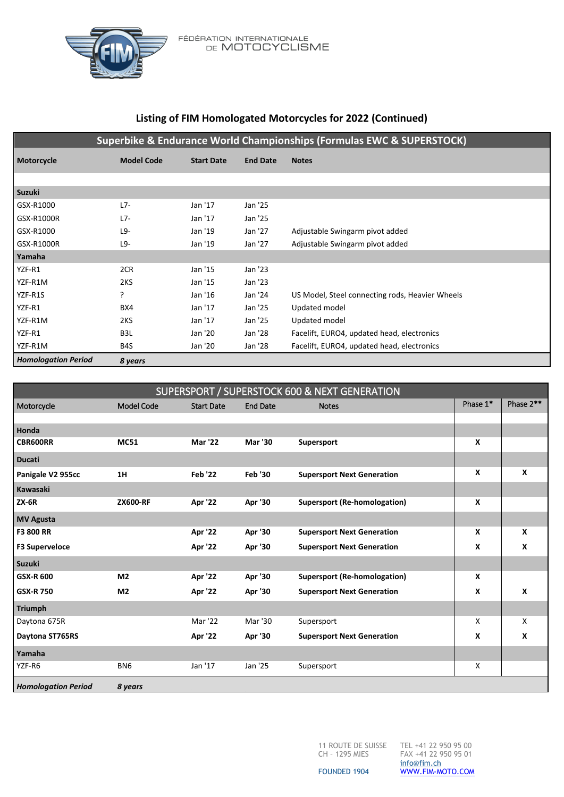

FÉDÉRATION INTERNATIONALE<br>DE **MOTOCYCLISME** 

# **Listing of FIM Homologated Motorcycles for 2022 (Continued)**

|  | Superbike & Endurance World Championships (Formulas EWC & SUPERSTOCK) |
|--|-----------------------------------------------------------------------|
|--|-----------------------------------------------------------------------|

| Motorcycle                 | <b>Model Code</b> | <b>Start Date</b> | <b>End Date</b> | <b>Notes</b>                                    |
|----------------------------|-------------------|-------------------|-----------------|-------------------------------------------------|
|                            |                   |                   |                 |                                                 |
| Suzuki                     |                   |                   |                 |                                                 |
| GSX-R1000                  | $L7-$             | Jan '17           | Jan '25         |                                                 |
| GSX-R1000R                 | L7-               | Jan '17           | Jan '25         |                                                 |
| GSX-R1000                  | L9-               | Jan '19           | Jan '27         | Adjustable Swingarm pivot added                 |
| GSX-R1000R                 | L9-               | Jan '19           | Jan '27         | Adjustable Swingarm pivot added                 |
| Yamaha                     |                   |                   |                 |                                                 |
| YZF-R1                     | 2CR               | Jan '15           | Jan '23         |                                                 |
| YZF-R1M                    | 2KS               | Jan '15           | Jan '23         |                                                 |
| YZF-R1S                    | ?                 | Jan '16           | Jan '24         | US Model, Steel connecting rods, Heavier Wheels |
| YZF-R1                     | BX4               | Jan '17           | Jan '25         | Updated model                                   |
| YZF-R1M                    | 2KS               | Jan '17           | Jan '25         | Updated model                                   |
| YZF-R1                     | B3L               | Jan '20           | Jan '28         | Facelift, EURO4, updated head, electronics      |
| YZF-R1M                    | B4S               | Jan '20           | Jan '28         | Facelift, EURO4, updated head, electronics      |
| <b>Homologation Period</b> | 8 years           |                   |                 |                                                 |

| SUPERSPORT / SUPERSTOCK 600 & NEXT GENERATION |                   |                   |                 |                                     |              |           |
|-----------------------------------------------|-------------------|-------------------|-----------------|-------------------------------------|--------------|-----------|
| Motorcycle                                    | <b>Model Code</b> | <b>Start Date</b> | <b>End Date</b> | <b>Notes</b>                        | Phase 1*     | Phase 2** |
|                                               |                   |                   |                 |                                     |              |           |
| Honda                                         |                   |                   |                 |                                     |              |           |
| <b>CBR600RR</b>                               | <b>MC51</b>       | <b>Mar '22</b>    | <b>Mar '30</b>  | Supersport                          | X            |           |
| <b>Ducati</b>                                 |                   |                   |                 |                                     |              |           |
| Panigale V2 955cc                             | 1H                | <b>Feb '22</b>    | <b>Feb '30</b>  | <b>Supersport Next Generation</b>   | $\mathbf{x}$ | X         |
| Kawasaki                                      |                   |                   |                 |                                     |              |           |
| <b>ZX-6R</b>                                  | <b>ZX600-RF</b>   | Apr '22           | Apr '30         | Supersport (Re-homologation)        | X            |           |
| <b>MV Agusta</b>                              |                   |                   |                 |                                     |              |           |
| <b>F3 800 RR</b>                              |                   | Apr '22           | Apr '30         | <b>Supersport Next Generation</b>   | X            | X         |
| <b>F3 Superveloce</b>                         |                   | Apr '22           | Apr '30         | <b>Supersport Next Generation</b>   | X            | X         |
| Suzuki                                        |                   |                   |                 |                                     |              |           |
| <b>GSX-R 600</b>                              | M <sub>2</sub>    | Apr '22           | Apr '30         | <b>Supersport (Re-homologation)</b> | X            |           |
| <b>GSX-R750</b>                               | M <sub>2</sub>    | Apr '22           | Apr '30         | <b>Supersport Next Generation</b>   | X            | X         |
| <b>Triumph</b>                                |                   |                   |                 |                                     |              |           |
| Daytona 675R                                  |                   | Mar '22           | Mar '30         | Supersport                          | X            | X         |
| Daytona ST765RS                               |                   | Apr '22           | Apr '30         | <b>Supersport Next Generation</b>   | X            | X         |
| Yamaha                                        |                   |                   |                 |                                     |              |           |
| YZF-R6                                        | BN <sub>6</sub>   | Jan '17           | Jan '25         | Supersport                          | X            |           |
| <b>Homologation Period</b>                    | 8 years           |                   |                 |                                     |              |           |

11 ROUTE DE SUISSE TEL +41 22 950 95 00 CH – 1295 MIES

FAX +41 22 950 95 01 [info@fim.ch](mailto:info@fim.ch) [WWW.FIM-MOTO.COM](http://www.fim-moto.com/)

FOUNDED 1904